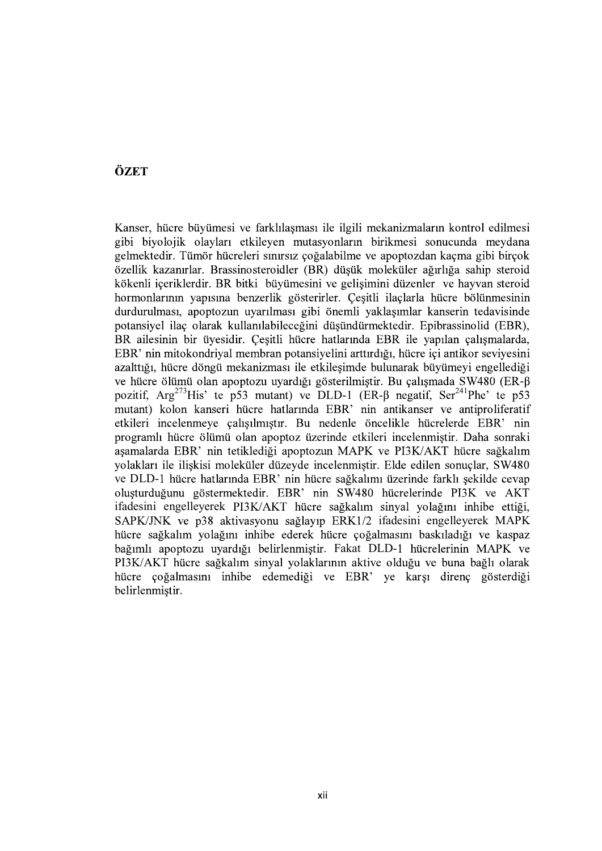## ÖZET

Kanser, hücre büyümesi ve farklılaşması ile ilgili mekanizmaların kontrol edilmesi gibi biyolojik olayları etkileyen mutasyonların birikmesi sonucunda meydana gelmektedir. Tümör hücreleri sınırsız çoğalabilme ve apoptozdan kaçma gibi birçok özellik kazanırlar. Brassinosteroidler (BR) düsük moleküler ağırlığa sahip steroid kökenli iceriklerdir. BR bitki büyümesini ve gelisimini düzenler ve hayvan steroid hormonlarının yapısına benzerlik gösterirler. Çeşitli ilaçlarla hücre bölünmesinin durdurulması, apoptozun uyarılması gibi önemli yaklaşımlar kanserin tedavisinde potansiyel ilaç olarak kullanılabileceğini düşündürmektedir. Epibrassinolid (EBR), BR ailesinin bir üyesidir. Cesitli hücre hatlarında EBR ile yapılan çalışmalarda, EBR' nin mitokondriyal membran potansiyelini arttırdığı, hücre içi antikor seviyesini azalttığı, hücre döngü mekanizması ile etkilesimde bulunarak büyümeyi engellediği ve hücre ölümü olan apoptozu uyardığı gösterilmiştir. Bu çalışmada SW480 (ER- $\beta$ pozitif, Arg<sup>273</sup>His' te p53 mutant) ve DLD-1 (ER- $\beta$  negatif, Ser<sup>241</sup>Phe' te p53 mutant) kolon kanseri hücre hatlarında EBR' nin antikanser ve antiproliferatif etkileri incelenmeye çalışılmıştır. Bu nedenle öncelikle hücrelerde EBR' nin programlı hücre ölümü olan apoptoz üzerinde etkileri incelenmistir. Daha sonraki asamalarda EBR' nin tetiklediği apoptozun MAPK ve PI3K/AKT hücre sağkalım yolakları ile ilişkisi moleküler düzeyde incelenmiştir. Elde edilen sonuçlar, SW480 ve DLD-1 hücre hatlarında EBR' nin hücre sağkalımı üzerinde farklı sekilde cevap oluşturduğunu göstermektedir. EBR' nin SW480 hücrelerinde PI3K ve AKT ifadesini engelleyerek PI3K/AKT hücre sağkalım sinyal yolağını inhibe ettiği, SAPK/JNK ve p38 aktivasyonu sağlayıp ERK1/2 ifadesini engelleyerek MAPK hücre sağkalım yolağını inhibe ederek hücre çoğalmasını baskıladığı ve kaspaz bağımlı apoptozu uyardığı belirlenmiştir. Fakat DLD-1 hücrelerinin MAPK ve PI3K/AKT hücre sağkalım sinyal yolaklarının aktive olduğu ve buna bağlı olarak hücre çoğalmasını inhibe edemediği ve EBR' ye karşı direnç gösterdiği belirlenmiştir.